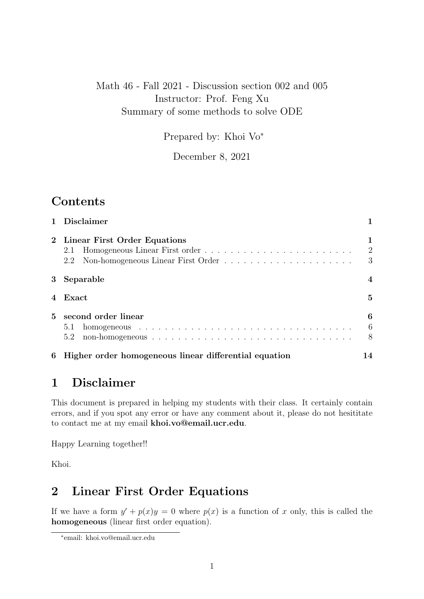### Math 46 - Fall 2021 - Discussion section 002 and 005 Instructor: Prof. Feng Xu Summary of some methods to solve ODE

Prepared by: Khoi Vo<sup>∗</sup>

December 8, 2021

## **Contents**

|    | 1 Disclaimer                                            |             |
|----|---------------------------------------------------------|-------------|
|    | 2 Linear First Order Equations<br>2.1<br>2.2            | 2<br>3      |
| 3  | Separable                                               | 4           |
|    | 4 Exact                                                 | 5           |
| 5. | second order linear<br>5.1<br>5.2                       | 6<br>6<br>8 |
|    | 6 Higher order homogeneous linear differential equation | 14          |

# 1 Disclaimer

This document is prepared in helping my students with their class. It certainly contain errors, and if you spot any error or have any comment about it, please do not hesititate to contact me at my email khoi.vo@email.ucr.edu.

Happy Learning together!!

Khoi.

# 2 Linear First Order Equations

If we have a form  $y' + p(x)y = 0$  where  $p(x)$  is a function of x only, this is called the homogeneous (linear first order equation).

<sup>∗</sup> email: khoi.vo@email.ucr.edu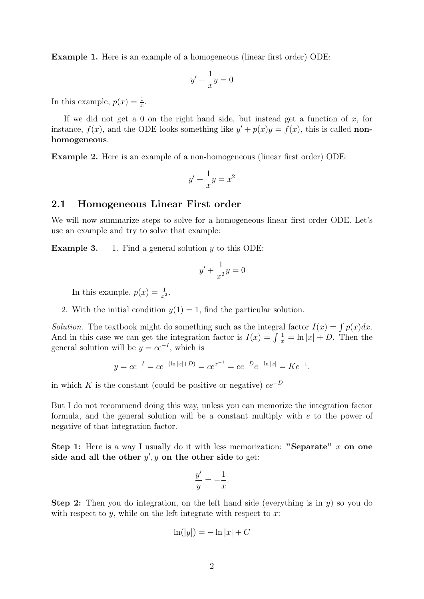Example 1. Here is an example of a homogeneous (linear first order) ODE:

$$
y' + \frac{1}{x}y = 0
$$

In this example,  $p(x) = \frac{1}{x}$ .

If we did not get a 0 on the right hand side, but instead get a function of  $x$ , for instance,  $f(x)$ , and the ODE looks something like  $y' + p(x)y = f(x)$ , this is called **non**homogeneous.

Example 2. Here is an example of a non-homogeneous (linear first order) ODE:

$$
y' + \frac{1}{x}y = x^2
$$

#### 2.1 Homogeneous Linear First order

We will now summarize steps to solve for a homogeneous linear first order ODE. Let's use an example and try to solve that example:

**Example 3.** 1. Find a general solution  $y$  to this ODE:

$$
y' + \frac{1}{x^2}y = 0
$$

In this example,  $p(x) = \frac{1}{x^2}$ .

2. With the initial condition  $y(1) = 1$ , find the particular solution.

Solution. The textbook might do something such as the integral factor  $I(x) = \int p(x)dx$ . And in this case we can get the integration factor is  $I(x) = \int \frac{1}{x} = \ln |x| + D$ . Then the general solution will be  $y = ce^{-I}$ , which is

$$
y = ce^{-I} = ce^{-(\ln|x|+D)} = ce^{x^{-1}} = ce^{-D}e^{-\ln|x|} = Ke^{-1}.
$$

in which K is the constant (could be positive or negative)  $ce^{-D}$ 

But I do not recommend doing this way, unless you can memorize the integration factor formula, and the general solution will be a constant multiply with e to the power of negative of that integration factor.

Step 1: Here is a way I usually do it with less memorization: "Separate" x on one side and all the other  $y', y$  on the other side to get:

$$
\frac{y'}{y} = -\frac{1}{x}.
$$

**Step 2:** Then you do integration, on the left hand side (everything is in  $y$ ) so you do with respect to  $y$ , while on the left integrate with respect to  $x$ :

$$
\ln(|y|) = -\ln|x| + C
$$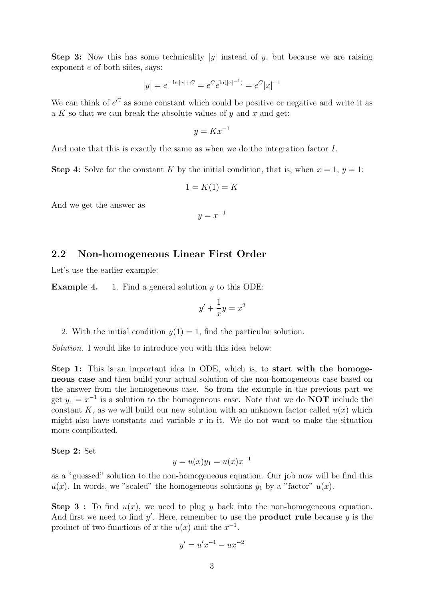**Step 3:** Now this has some technicality  $|y|$  instead of y, but because we are raising exponent e of both sides, says:

$$
|y| = e^{-\ln|x| + C} = e^C e^{\ln(|x|^{-1})} = e^C |x|^{-1}
$$

We can think of  $e^C$  as some constant which could be positive or negative and write it as a K so that we can break the absolute values of  $y$  and  $x$  and get:

$$
y = Kx^{-1}
$$

And note that this is exactly the same as when we do the integration factor I.

**Step 4:** Solve for the constant K by the initial condition, that is, when  $x = 1$ ,  $y = 1$ :

$$
1 = K(1) = K
$$

And we get the answer as

$$
y = x^{-1}
$$

#### 2.2 Non-homogeneous Linear First Order

Let's use the earlier example:

**Example 4.** 1. Find a general solution  $y$  to this ODE:

$$
y' + \frac{1}{x}y = x^2
$$

2. With the initial condition  $y(1) = 1$ , find the particular solution.

Solution. I would like to introduce you with this idea below:

Step 1: This is an important idea in ODE, which is, to start with the homogeneous case and then build your actual solution of the non-homogeneous case based on the answer from the homogeneous case. So from the example in the previous part we get  $y_1 = x^{-1}$  is a solution to the homogeneous case. Note that we do **NOT** include the constant K, as we will build our new solution with an unknown factor called  $u(x)$  which might also have constants and variable  $x$  in it. We do not want to make the situation more complicated.

#### Step 2: Set

$$
y = u(x)y_1 = u(x)x^{-1}
$$

as a "guessed" solution to the non-homogeneous equation. Our job now will be find this  $u(x)$ . In words, we "scaled" the homogeneous solutions  $y_1$  by a "factor"  $u(x)$ .

**Step 3**: To find  $u(x)$ , we need to plug y back into the non-homogeneous equation. And first we need to find  $y'$ . Here, remember to use the **product rule** because  $y$  is the product of two functions of x the  $u(x)$  and the  $x^{-1}$ .

$$
y' = u'x^{-1} - ux^{-2}
$$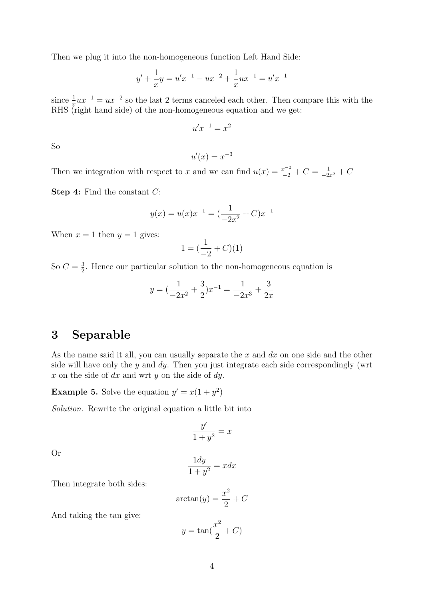Then we plug it into the non-homogeneous function Left Hand Side:

$$
y' + \frac{1}{x}y = u'x^{-1} - ux^{-2} + \frac{1}{x}ux^{-1} = u'x^{-1}
$$

since  $\frac{1}{x}ux^{-1} = ux^{-2}$  so the last 2 terms canceled each other. Then compare this with the RHS (right hand side) of the non-homogeneous equation and we get:

$$
u'x^{-1} = x^2
$$

So

$$
u'(x) = x^{-3}
$$

Then we integration with respect to x and we can find  $u(x) = \frac{x^{-2}}{-2} + C = \frac{1}{-2x^2} + C$ 

Step 4: Find the constant C:

$$
y(x) = u(x)x^{-1} = \left(\frac{1}{-2x^2} + C\right)x^{-1}
$$

When  $x = 1$  then  $y = 1$  gives:

$$
1 = (\frac{1}{-2} + C)(1)
$$

So  $C=\frac{3}{2}$  $\frac{3}{2}$ . Hence our particular solution to the non-homogeneous equation is

$$
y = \left(\frac{1}{-2x^2} + \frac{3}{2}\right)x^{-1} = \frac{1}{-2x^3} + \frac{3}{2x}
$$

### 3 Separable

As the name said it all, you can usually separate the  $x$  and  $dx$  on one side and the other side will have only the  $y$  and  $dy$ . Then you just integrate each side correspondingly (wrt x on the side of  $dx$  and wrt y on the side of  $dy$ .

**Example 5.** Solve the equation  $y' = x(1 + y^2)$ 

Solution. Rewrite the original equation a little bit into

$$
\frac{y'}{1+y^2} = x
$$

Or

$$
\frac{1dy}{1+y^2} = xdx
$$

Then integrate both sides:

$$
\arctan(y) = \frac{x^2}{2} + C
$$

And taking the tan give:

$$
y = \tan(\frac{x^2}{2} + C)
$$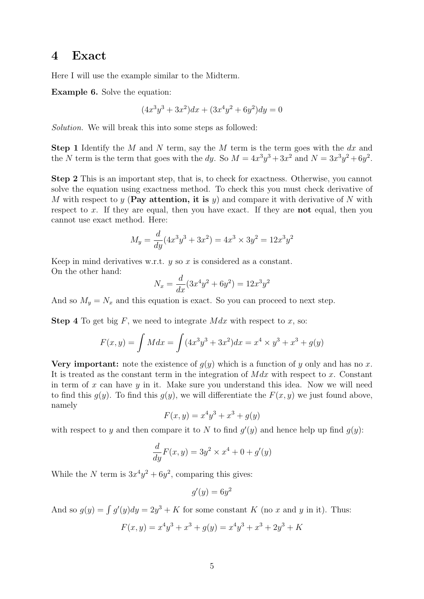### 4 Exact

Here I will use the example similar to the Midterm.

Example 6. Solve the equation:

$$
(4x^3y^3 + 3x^2)dx + (3x^4y^2 + 6y^2)dy = 0
$$

Solution. We will break this into some steps as followed:

**Step 1** Identify the M and N term, say the M term is the term goes with the  $dx$  and the N term is the term that goes with the dy. So  $M = 4x^3y^3 + 3x^2$  and  $N = 3x^3y^2 + 6y^2$ .

Step 2 This is an important step, that is, to check for exactness. Otherwise, you cannot solve the equation using exactness method. To check this you must check derivative of M with respect to y (Pay attention, it is y) and compare it with derivative of N with respect to  $x$ . If they are equal, then you have exact. If they are **not** equal, then you cannot use exact method. Here:

$$
M_y = \frac{d}{dy}(4x^3y^3 + 3x^2) = 4x^3 \times 3y^2 = 12x^3y^2
$$

Keep in mind derivatives w.r.t.  $y$  so  $x$  is considered as a constant. On the other hand:

$$
N_x = \frac{d}{dx}(3x^4y^2 + 6y^2) = 12x^3y^2
$$

And so  $M_y = N_x$  and this equation is exact. So you can proceed to next step.

**Step 4** To get big F, we need to integrate  $M dx$  with respect to x, so:

$$
F(x,y) = \int M dx = \int (4x^3y^3 + 3x^2) dx = x^4 \times y^3 + x^3 + g(y)
$$

**Very important:** note the existence of  $q(y)$  which is a function of y only and has no x. It is treated as the constant term in the integration of  $M dx$  with respect to x. Constant in term of  $x$  can have  $y$  in it. Make sure you understand this idea. Now we will need to find this  $q(y)$ . To find this  $q(y)$ , we will differentiate the  $F(x, y)$  we just found above, namely

$$
F(x, y) = x^4y^3 + x^3 + g(y)
$$

with respect to y and then compare it to N to find  $g'(y)$  and hence help up find  $g(y)$ :

$$
\frac{d}{dy}F(x,y) = 3y^2 \times x^4 + 0 + g'(y)
$$

While the N term is  $3x^4y^2 + 6y^2$ , comparing this gives:

$$
g'(y) = 6y^2
$$

And so  $g(y) = \int g'(y)dy = 2y^3 + K$  for some constant K (no x and y in it). Thus:

$$
F(x, y) = x4y3 + x3 + g(y) = x4y3 + x3 + 2y3 + K
$$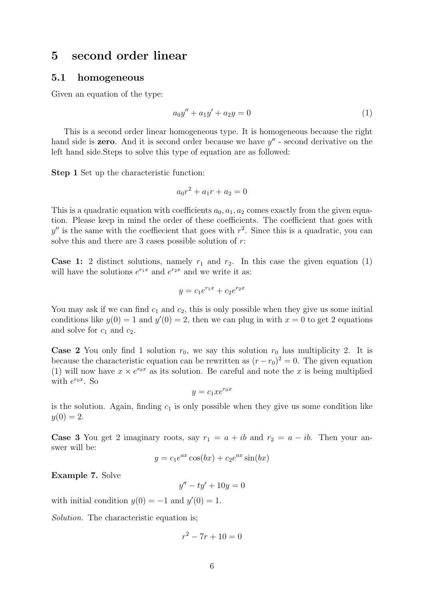### 5 second order linear

#### 5.1 homogeneous

Given an equation of the type:

$$
a_0 y'' + a_1 y' + a_2 y = 0 \tag{1}
$$

This is a second order linear homogeneous type. It is homogeneous because the right hand side is **zero**. And it is second order because we have  $y''$  - second derivative on the left hand side.Steps to solve this type of equation are as followed:

Step 1 Set up the characteristic function:

$$
a_0r^2 + a_1r + a_2 = 0
$$

This is a quadratic equation with coefficients  $a_0, a_1, a_2$  comes exactly from the given equation. Please keep in mind the order of these coefficients. The coefficient that goes with  $y''$  is the same with the coeffiecient that goes with  $r^2$ . Since this is a quadratic, you can solve this and there are 3 cases possible solution of  $r$ :

**Case 1:** 2 distinct solutions, namely  $r_1$  and  $r_2$ . In this case the given equation (1) will have the solutions  $e^{r_1x}$  and  $e^{r_2x}$  and we write it as:

$$
y = c_1 e^{r_1 x} + c_2 e^{r_2 x}
$$

You may ask if we can find  $c_1$  and  $c_2$ , this is only possible when they give us some initial conditions like  $y(0) = 1$  and  $y'(0) = 2$ , then we can plug in with  $x = 0$  to get 2 equations and solve for  $c_1$  and  $c_2$ .

**Case 2** You only find 1 solution  $r_0$ , we say this solution  $r_0$  has multiplicity 2. It is because the characteristic equation can be rewritten as  $(r - r_0)^2 = 0$ . The given equation (1) will now have  $x \times e^{r_0 x}$  as its solution. Be careful and note the x is being multiplied with  $e^{r_0x}$ . So

$$
y = c_1 x e^{r_0 x}
$$

is the solution. Again, finding  $c_1$  is only possible when they give us some condition like  $y(0) = 2.$ 

**Case 3** You get 2 imaginary roots, say  $r_1 = a + ib$  and  $r_2 = a - ib$ . Then your answer will be:

$$
y = c_1 e^{ax} \cos(bx) + c_2 e^{ax} \sin(bx)
$$

Example 7. Solve

$$
y'' - ty' + 10y = 0
$$

with initial condition  $y(0) = -1$  and  $y'(0) = 1$ .

Solution. The characteristic equation is:

 $r^2 - 7r + 10 = 0$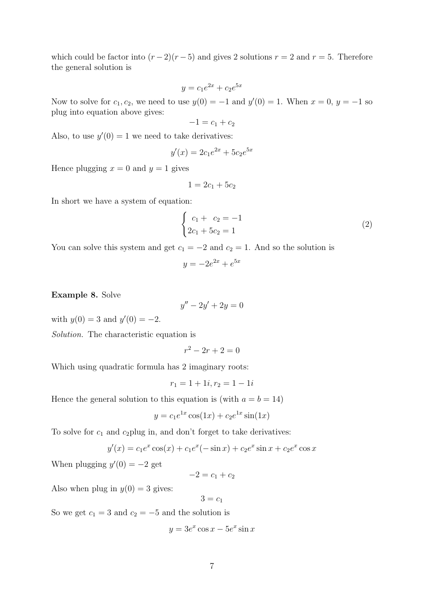which could be factor into  $(r-2)(r-5)$  and gives 2 solutions  $r = 2$  and  $r = 5$ . Therefore the general solution is

$$
y = c_1 e^{2x} + c_2 e^{5x}
$$

Now to solve for  $c_1, c_2$ , we need to use  $y(0) = -1$  and  $y'(0) = 1$ . When  $x = 0$ ,  $y = -1$  so plug into equation above gives:

 $-1 = c_1 + c_2$ 

Also, to use  $y'(0) = 1$  we need to take derivatives:

$$
y'(x) = 2c_1e^{2x} + 5c_2e^{5x}
$$

Hence plugging  $x = 0$  and  $y = 1$  gives

$$
1 = 2c_1 + 5c_2
$$

In short we have a system of equation:

$$
\begin{cases} c_1 + c_2 = -1 \\ 2c_1 + 5c_2 = 1 \end{cases}
$$
 (2)

You can solve this system and get  $c_1 = -2$  and  $c_2 = 1$ . And so the solution is

$$
y = -2e^{2x} + e^{5x}
$$

Example 8. Solve

$$
y'' - 2y' + 2y = 0
$$

with  $y(0) = 3$  and  $y'(0) = -2$ .

Solution. The characteristic equation is

$$
r^2 - 2r + 2 = 0
$$

Which using quadratic formula has 2 imaginary roots:

$$
r_1 = 1 + 1i, r_2 = 1 - 1i
$$

Hence the general solution to this equation is (with  $a = b = 14$ )

$$
y = c_1 e^{1x} \cos(1x) + c_2 e^{1x} \sin(1x)
$$

To solve for  $c_1$  and  $c_2$  plug in, and don't forget to take derivatives:

$$
y'(x) = c_1 e^x \cos(x) + c_1 e^x (-\sin x) + c_2 e^x \sin x + c_2 e^x \cos x
$$

When plugging  $y'(0) = -2$  get

 $-2 = c_1 + c_2$ 

Also when plug in  $y(0) = 3$  gives:

$$
3=c_1
$$

So we get  $c_1 = 3$  and  $c_2 = -5$  and the solution is

$$
y = 3e^x \cos x - 5e^x \sin x
$$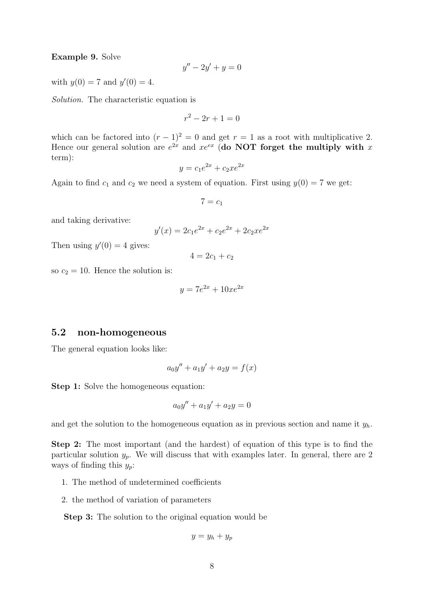Example 9. Solve

$$
y'' - 2y' + y = 0
$$

with  $y(0) = 7$  and  $y'(0) = 4$ .

Solution. The characteristic equation is

$$
r^2 - 2r + 1 = 0
$$

which can be factored into  $(r-1)^2 = 0$  and get  $r = 1$  as a root with multiplicative 2. Hence our general solution are  $e^{2x}$  and  $xe^{ex}$  (do NOT forget the multiply with x term):

$$
y = c_1 e^{2x} + c_2 x e^{2x}
$$

Again to find  $c_1$  and  $c_2$  we need a system of equation. First using  $y(0) = 7$  we get:

$$
7=c_1
$$

and taking derivative:

$$
y'(x) = 2c_1e^{2x} + c_2e^{2x} + 2c_2xe^{2x}
$$

Then using  $y'(0) = 4$  gives:

$$
4 = 2c_1 + c_2
$$

so  $c_2 = 10$ . Hence the solution is:

$$
y = 7e^{2x} + 10xe^{2x}
$$

#### 5.2 non-homogeneous

The general equation looks like:

$$
a_0 y'' + a_1 y' + a_2 y = f(x)
$$

Step 1: Solve the homogeneous equation:

$$
a_0 y'' + a_1 y' + a_2 y = 0
$$

and get the solution to the homogeneous equation as in previous section and name it  $y_h$ .

Step 2: The most important (and the hardest) of equation of this type is to find the particular solution  $y_p$ . We will discuss that with examples later. In general, there are 2 ways of finding this  $y_p$ :

- 1. The method of undetermined coefficients
- 2. the method of variation of parameters

Step 3: The solution to the original equation would be

$$
y=y_h+y_p
$$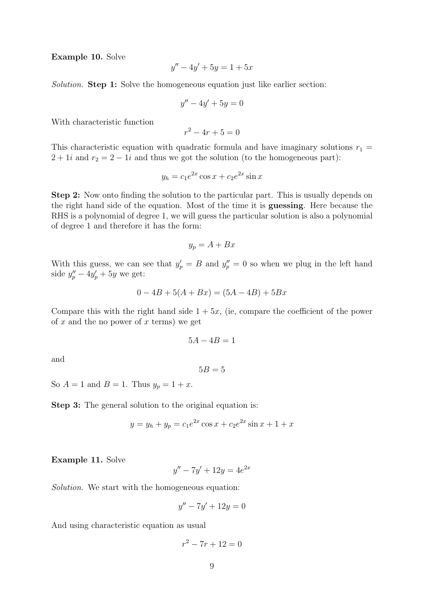Example 10. Solve

$$
y'' - 4y' + 5y = 1 + 5x
$$

Solution. Step 1: Solve the homogeneous equation just like earlier section:

$$
y'' - 4y' + 5y = 0
$$

With characteristic function

$$
r^2 - 4r + 5 = 0
$$

This characteristic equation with quadratic formula and have imaginary solutions  $r_1$  =  $2 + 1i$  and  $r_2 = 2 - 1i$  and thus we got the solution (to the homogeneous part):

$$
y_h = c_1 e^{2x} \cos x + c_2 e^{2x} \sin x
$$

Step 2: Now onto finding the solution to the particular part. This is usually depends on the right hand side of the equation. Most of the time it is guessing. Here because the RHS is a polynomial of degree 1, we will guess the particular solution is also a polynomial of degree 1 and therefore it has the form:

$$
y_p = A + Bx
$$

With this guess, we can see that  $y'_p = B$  and  $y''_p = 0$  so when we plug in the left hand side  $y_p'' - 4y_p' + 5y$  we get:

$$
0 - 4B + 5(A + Bx) = (5A - 4B) + 5Bx
$$

Compare this with the right hand side  $1 + 5x$ , (ie, compare the coefficient of the power of  $x$  and the no power of  $x$  terms) we get

$$
5A - 4B = 1
$$

and

 $5B = 5$ 

So  $A = 1$  and  $B = 1$ . Thus  $y_p = 1 + x$ .

Step 3: The general solution to the original equation is:

$$
y = y_h + y_p = c_1 e^{2x} \cos x + c_2 e^{2x} \sin x + 1 + x
$$

Example 11. Solve

$$
y'' - 7y' + 12y = 4e^{2x}
$$

Solution. We start with the homogeneous equation:

$$
y'' - 7y' + 12y = 0
$$

And using characteristic equation as usual

$$
r^2 - 7r + 12 = 0
$$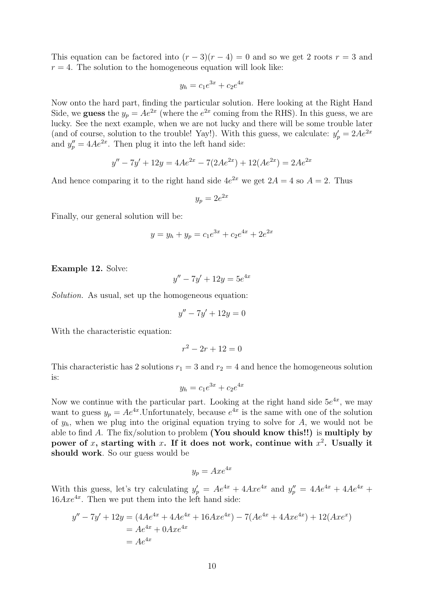This equation can be factored into  $(r-3)(r-4) = 0$  and so we get 2 roots  $r = 3$  and  $r = 4$ . The solution to the homogeneous equation will look like:

$$
y_h = c_1 e^{3x} + c_2 e^{4x}
$$

Now onto the hard part, finding the particular solution. Here looking at the Right Hand Side, we **guess** the  $y_p = Ae^{2x}$  (where the  $e^{2x}$  coming from the RHS). In this guess, we are lucky. See the next example, when we are not lucky and there will be some trouble later (and of course, solution to the trouble! Yay!). With this guess, we calculate:  $y'_p = 2Ae^{2x}$ and  $y_p'' = 4Ae^{2x}$ . Then plug it into the left hand side:

$$
y'' - 7y' + 12y = 4Ae^{2x} - 7(2Ae^{2x}) + 12(Ae^{2x}) = 2Ae^{2x}
$$

And hence comparing it to the right hand side  $4e^{2x}$  we get  $2A = 4$  so  $A = 2$ . Thus

$$
y_p = 2e^{2x}
$$

Finally, our general solution will be:

$$
y = y_h + y_p = c_1 e^{3x} + c_2 e^{4x} + 2e^{2x}
$$

Example 12. Solve:

$$
y'' - 7y' + 12y = 5e^{4x}
$$

Solution. As usual, set up the homogeneous equation:

$$
y'' - 7y' + 12y = 0
$$

With the characteristic equation:

$$
r^2 - 2r + 12 = 0
$$

This characteristic has 2 solutions  $r_1 = 3$  and  $r_2 = 4$  and hence the homogeneous solution is:

$$
y_h = c_1 e^{3x} + c_2 e^{4x}
$$

Now we continue with the particular part. Looking at the right hand side  $5e^{4x}$ , we may want to guess  $y_p = Ae^{4x}$ . Unfortunately, because  $e^{4x}$  is the same with one of the solution of  $y_h$ , when we plug into the original equation trying to solve for A, we would not be able to find A. The fix/solution to problem (You should know this!!) is multiply by power of x, starting with x. If it does not work, continue with  $x^2$ . Usually it should work. So our guess would be

$$
y_p = Axe^{4x}
$$

With this guess, let's try calculating  $y'_p = Ae^{4x} + 4Axe^{4x}$  and  $y''_p = 4Ae^{4x} + 4Ae^{4x} +$  $16Axe^{4x}$ . Then we put them into the left hand side:

$$
y'' - 7y' + 12y = (4Ae^{4x} + 4Ae^{4x} + 16Axe^{4x}) - 7(Ae^{4x} + 4Axe^{4x}) + 12(Axe^{x})
$$
  
=  $Ae^{4x} + 0Axe^{4x}$   
=  $Ae^{4x}$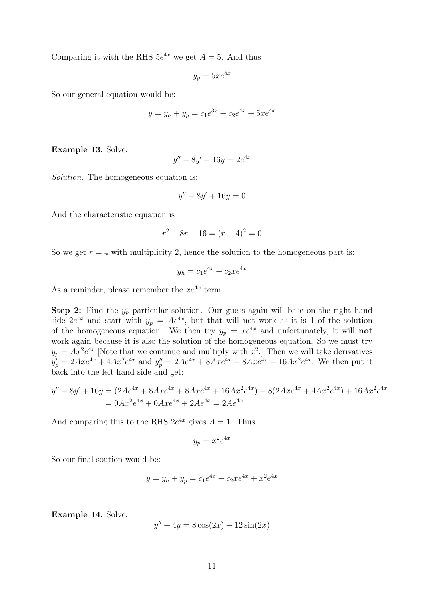Comparing it with the RHS  $5e^{4x}$  we get  $A = 5$ . And thus

$$
y_p = 5xe^{5x}
$$

So our general equation would be:

$$
y = y_h + y_p = c_1 e^{3x} + c_2 e^{4x} + 5xe^{4x}
$$

Example 13. Solve:

$$
y'' - 8y' + 16y = 2e^{4x}
$$

Solution. The homogeneous equation is:

$$
y'' - 8y' + 16y = 0
$$

And the characteristic equation is

$$
r^2 - 8r + 16 = (r - 4)^2 = 0
$$

So we get  $r = 4$  with multiplicity 2, hence the solution to the homogeneous part is:

$$
y_h = c_1 e^{4x} + c_2 x e^{4x}
$$

As a reminder, please remember the  $xe^{4x}$  term.

**Step 2:** Find the  $y_p$  particular solution. Our guess again will base on the right hand side  $2e^{4x}$  and start with  $y_p = Ae^{4x}$ , but that will not work as it is 1 of the solution of the homogeneous equation. We then try  $y_p = xe^{4x}$  and unfortunately, it will **not** work again because it is also the solution of the homogeneous equation. So we must try  $y_p = Ax^2e^{4x}$ . Note that we continue and multiply with  $x^2$ . Then we will take derivatives  $y'_p = 2Axe^{4x} + 4Ax^2e^{4x}$  and  $y''_p = 2Ae^{4x} + 8Axe^{4x} + 8Axe^{4x} + 16Ax^2e^{4x}$ . We then put it back into the left hand side and get:

$$
y'' - 8y' + 16y = (2Ae^{4x} + 8Axe^{4x} + 8Axe^{4x} + 16Ax^2e^{4x}) - 8(2Axe^{4x} + 4Ax^2e^{4x}) + 16Ax^2e^{4x}
$$
  
=  $0Ax^2e^{4x} + 0Axe^{4x} + 2Ae^{4x} = 2Ae^{4x}$ 

And comparing this to the RHS  $2e^{4x}$  gives  $A = 1$ . Thus

$$
y_p = x^2 e^{4x}
$$

So our final soution would be:

$$
y = y_h + y_p = c_1 e^{4x} + c_2 x e^{4x} + x^2 e^{4x}
$$

Example 14. Solve:

$$
y'' + 4y = 8\cos(2x) + 12\sin(2x)
$$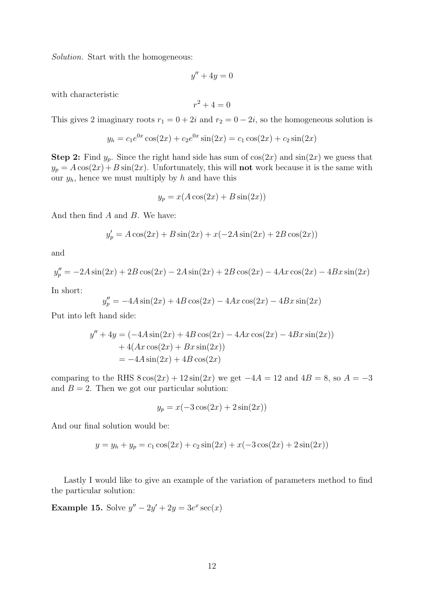Solution. Start with the homogeneous:

$$
y'' + 4y = 0
$$

with characteristic

$$
r^2 + 4 = 0
$$

This gives 2 imaginary roots  $r_1 = 0 + 2i$  and  $r_2 = 0 - 2i$ , so the homogeneous solution is

$$
y_h = c_1 e^{0x} \cos(2x) + c_2 e^{0x} \sin(2x) = c_1 \cos(2x) + c_2 \sin(2x)
$$

**Step 2:** Find  $y_p$ . Since the right hand side has sum of  $cos(2x)$  and  $sin(2x)$  we guess that  $y_p = A\cos(2x) + B\sin(2x)$ . Unfortunately, this will **not** work because it is the same with our  $y_h$ , hence we must multiply by h and have this

$$
y_p = x(A\cos(2x) + B\sin(2x))
$$

And then find A and B. We have:

$$
y'_p = A\cos(2x) + B\sin(2x) + x(-2A\sin(2x) + 2B\cos(2x))
$$

and

$$
y_p'' = -2A\sin(2x) + 2B\cos(2x) - 2A\sin(2x) + 2B\cos(2x) - 4Ax\cos(2x) - 4Bx\sin(2x)
$$

In short:

$$
y_p'' = -4A\sin(2x) + 4B\cos(2x) - 4Ax\cos(2x) - 4Bx\sin(2x)
$$

Put into left hand side:

$$
y'' + 4y = (-4A\sin(2x) + 4B\cos(2x) - 4Ax\cos(2x) - 4Bx\sin(2x))
$$
  
+ 4(Ax\cos(2x) + Bx\sin(2x))  
= -4A\sin(2x) + 4B\cos(2x)

comparing to the RHS  $8 \cos(2x) + 12 \sin(2x)$  we get  $-4A = 12$  and  $4B = 8$ , so  $A = -3$ and  $B = 2$ . Then we got our particular solution:

$$
y_p = x(-3\cos(2x) + 2\sin(2x))
$$

And our final solution would be:

$$
y = y_h + y_p = c_1 \cos(2x) + c_2 \sin(2x) + x(-3\cos(2x) + 2\sin(2x))
$$

Lastly I would like to give an example of the variation of parameters method to find the particular solution:

**Example 15.** Solve  $y'' - 2y' + 2y = 3e^x \sec(x)$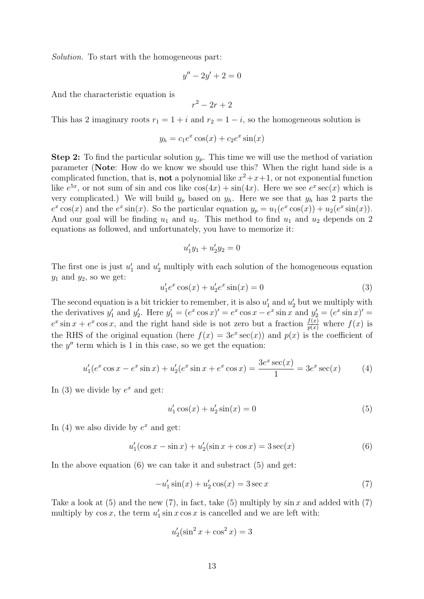Solution. To start with the homogeneous part:

$$
y'' - 2y' + 2 = 0
$$

And the characteristic equation is

$$
r^2 - 2r + 2
$$

This has 2 imaginary roots  $r_1 = 1 + i$  and  $r_2 = 1 - i$ , so the homogeneous solution is

$$
y_h = c_1 e^x \cos(x) + c_2 e^x \sin(x)
$$

**Step 2:** To find the particular solution  $y_p$ . This time we will use the method of variation parameter (Note: How do we know we should use this? When the right hand side is a complicated function, that is, **not** a polynomial like  $x^2 + x + 1$ , or not exponential function like  $e^{5x}$ , or not sum of sin and cos like  $cos(4x) + sin(4x)$ . Here we see  $e^x sec(x)$  which is very complicated.) We will build  $y_p$  based on  $y_h$ . Here we see that  $y_h$  has 2 parts the  $e^x \cos(x)$  and the  $e^x \sin(x)$ . So the particular equation  $y_p = u_1(e^x \cos(x)) + u_2(e^x \sin(x))$ . And our goal will be finding  $u_1$  and  $u_2$ . This method to find  $u_1$  and  $u_2$  depends on 2 equations as followed, and unfortunately, you have to memorize it:

$$
u_1' y_1 + u_2' y_2 = 0
$$

The first one is just  $u'_1$  and  $u'_2$  multiply with each solution of the homogeneous equation  $y_1$  and  $y_2$ , so we get:

$$
u_1' e^x \cos(x) + u_2' e^x \sin(x) = 0
$$
\n(3)

The second equation is a bit trickier to remember, it is also  $u'_1$  and  $u'_2$  but we multiply with the derivatives  $y'_1$  and  $y'_2$ . Here  $y'_1 = (e^x \cos x)' = e^x \cos x - e^x \sin x$  and  $y'_2 = (e^x \sin x)' =$  $e^x \sin x + e^x \cos x$ , and the right hand side is not zero but a fraction  $\frac{f(x)}{p(x)}$  where  $f(x)$  is the RHS of the original equation (here  $f(x) = 3e^x \sec(x)$ ) and  $p(x)$  is the coefficient of the  $y''$  term which is 1 in this case, so we get the equation:

$$
u_1'(e^x \cos x - e^x \sin x) + u_2'(e^x \sin x + e^x \cos x) = \frac{3e^x \sec(x)}{1} = 3e^x \sec(x) \tag{4}
$$

In (3) we divide by  $e^x$  and get:

$$
u_1' \cos(x) + u_2' \sin(x) = 0
$$
 (5)

In (4) we also divide by  $e^x$  and get:

$$
u'_1(\cos x - \sin x) + u'_2(\sin x + \cos x) = 3\sec(x)
$$
 (6)

In the above equation  $(6)$  we can take it and substract  $(5)$  and get:

$$
-u'_1 \sin(x) + u'_2 \cos(x) = 3 \sec x \tag{7}
$$

Take a look at  $(5)$  and the new  $(7)$ , in fact, take  $(5)$  multiply by  $\sin x$  and added with  $(7)$ multiply by  $\cos x$ , the term  $u'_1 \sin x \cos x$  is cancelled and we are left with:

$$
u_2'(\sin^2 x + \cos^2 x) = 3
$$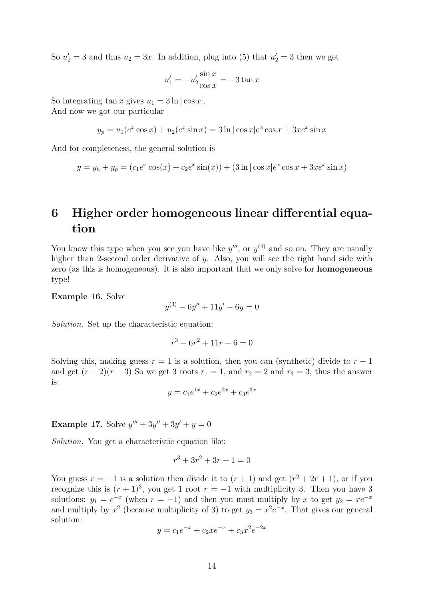So  $u'_2 = 3$  and thus  $u_2 = 3x$ . In addition, plug into (5) that  $u'_2 = 3$  then we get

$$
u_1' = -u_2' \frac{\sin x}{\cos x} = -3 \tan x
$$

So integrating  $\tan x$  gives  $u_1 = 3 \ln |\cos x|$ . And now we got our particular

$$
y_p = u_1(e^x \cos x) + u_2(e^x \sin x) = 3 \ln |\cos x|e^x \cos x + 3xe^x \sin x
$$

And for completeness, the general solution is

$$
y = y_h + y_p = (c_1 e^x \cos(x) + c_2 e^x \sin(x)) + (3 \ln |\cos x| e^x \cos x + 3xe^x \sin x)
$$

# 6 Higher order homogeneous linear differential equation

You know this type when you see you have like  $y''',$  or  $y^{(4)}$  and so on. They are usually higher than 2-second order derivative of y. Also, you will see the right hand side with zero (as this is homogeneous). It is also important that we only solve for homogeneous type!

Example 16. Solve

 $y^{(3)} - 6y'' + 11y' - 6y = 0$ 

Solution. Set up the characteristic equation:

$$
r^3 - 6r^2 + 11r - 6 = 0
$$

Solving this, making guess  $r = 1$  is a solution, then you can (synthetic) divide to  $r - 1$ and get  $(r-2)(r-3)$  So we get 3 roots  $r_1 = 1$ , and  $r_2 = 2$  and  $r_3 = 3$ , thus the answer is:

$$
y = c_1 e^{1x} + c_2 e^{2x} + c_3 e^{3x}
$$

**Example 17.** Solve  $y''' + 3y'' + 3y' + y = 0$ 

Solution. You get a characteristic equation like:

$$
r^3 + 3r^2 + 3r + 1 = 0
$$

You guess  $r = -1$  is a solution then divide it to  $(r + 1)$  and get  $(r^2 + 2r + 1)$ , or if you recognize this is  $(r + 1)^3$ , you get 1 root  $r = -1$  with multiplicity 3. Then you have 3 solutions:  $y_1 = e^{-x}$  (when  $r = -1$ ) and then you must multiply by x to get  $y_2 = xe^{-x}$ and multiply by  $x^2$  (because multiplicity of 3) to get  $y_3 = x^2 e^{-x}$ . That gives our general solution:

$$
y = c_1 e^{-x} + c_2 x e^{-x} + c_3 x^2 e^{-2x}
$$